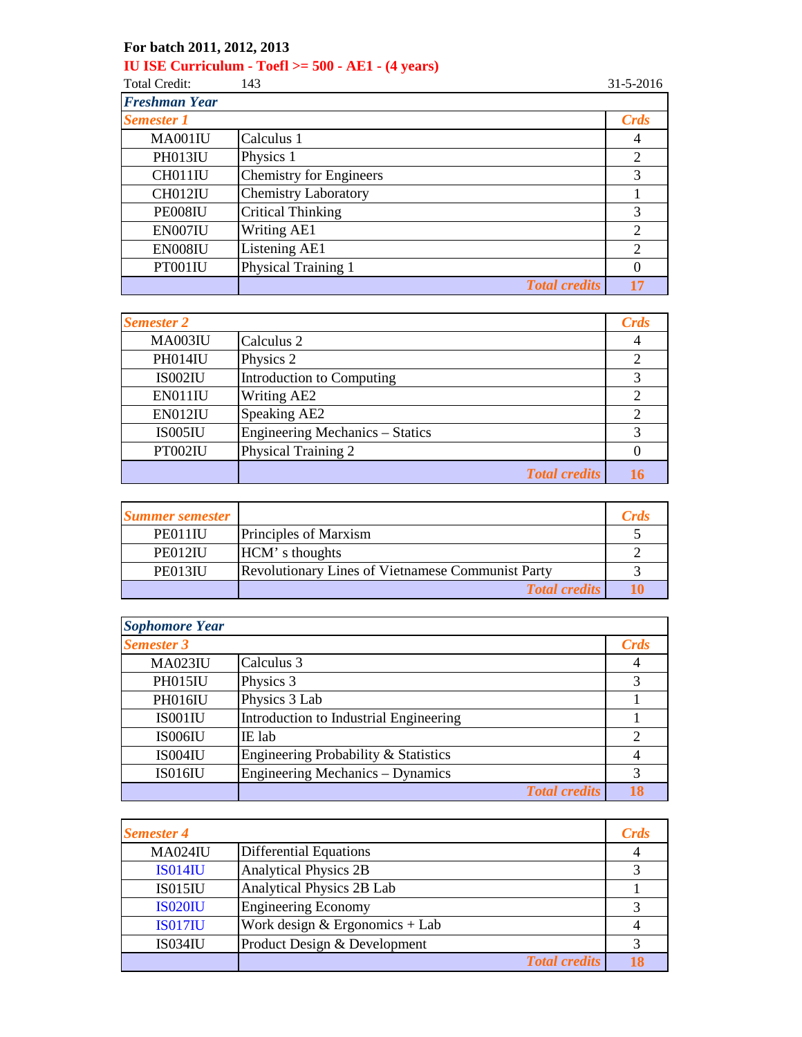## **For batch 2011, 2012, 2013**

## **IU ISE Curriculum - Toefl >= 500 - AE1 - (4 years)**

Total Credit: 143 31-5-2016

| <b>Freshman Year</b> |                                |                |
|----------------------|--------------------------------|----------------|
| <b>Semester 1</b>    |                                | Crds           |
| MA001IU              | Calculus 1                     | $\overline{4}$ |
| <b>PH013IU</b>       | Physics 1                      | 2              |
| CH011IU              | <b>Chemistry for Engineers</b> | 3              |
| CH012IU              | <b>Chemistry Laboratory</b>    |                |
| PE008IU              | <b>Critical Thinking</b>       | 3              |
| EN007IU              | Writing AE1                    | $\overline{2}$ |
| EN008IU              | Listening AE1                  | 2              |
| PT001IU              | Physical Training 1            | 0              |
|                      | <b>Total credits</b>           |                |

| <b>Semester 2</b> |                                        | <b>Crds</b>    |
|-------------------|----------------------------------------|----------------|
| MA003IU           | Calculus 2                             | 4              |
| PH014IU           | Physics 2                              | 2              |
| IS002IU           | Introduction to Computing              | 3              |
| EN011IU           | Writing AE2                            | $\overline{2}$ |
| EN012IU           | Speaking AE2                           | $\mathcal{D}$  |
| <b>IS005IU</b>    | <b>Engineering Mechanics – Statics</b> | 3              |
| PT002IU           | <b>Physical Training 2</b>             |                |
|                   | <b>Total credits</b>                   | 16             |

| <b>Summer semester</b> |                                                          | <b>Crds</b> |
|------------------------|----------------------------------------------------------|-------------|
| PE011IU                | Principles of Marxism                                    |             |
| PE012IU                | HCM's thoughts                                           |             |
| PE013IU                | <b>Revolutionary Lines of Vietnamese Communist Party</b> |             |
|                        | <b>Total credits</b>                                     |             |

| <b>Sophomore Year</b> |                                        |                |
|-----------------------|----------------------------------------|----------------|
| <b>Semester 3</b>     |                                        | Crds           |
| <b>MA023IU</b>        | Calculus 3                             | 4              |
| PH015IU               | Physics 3                              | 3              |
| PH016IU               | Physics 3 Lab                          |                |
| IS001IU               | Introduction to Industrial Engineering |                |
| IS006IU               | IE lab                                 | 2              |
| IS004IU               | Engineering Probability & Statistics   | $\overline{4}$ |
| <b>IS016IU</b>        | Engineering Mechanics – Dynamics       | 3              |
|                       | <b>Total credits</b>                   | 18             |

| <b>Semester 4</b> |                                  | <b>Crds</b> |
|-------------------|----------------------------------|-------------|
| <b>MA024IU</b>    | <b>Differential Equations</b>    | 4           |
| <b>IS014IU</b>    | <b>Analytical Physics 2B</b>     |             |
| <b>IS015IU</b>    | Analytical Physics 2B Lab        |             |
| <b>IS020IU</b>    | <b>Engineering Economy</b>       |             |
| <b>IS017IU</b>    | Work design $&$ Ergonomics + Lab |             |
| <b>IS034IU</b>    | Product Design & Development     |             |
|                   | <b>Total credits</b>             |             |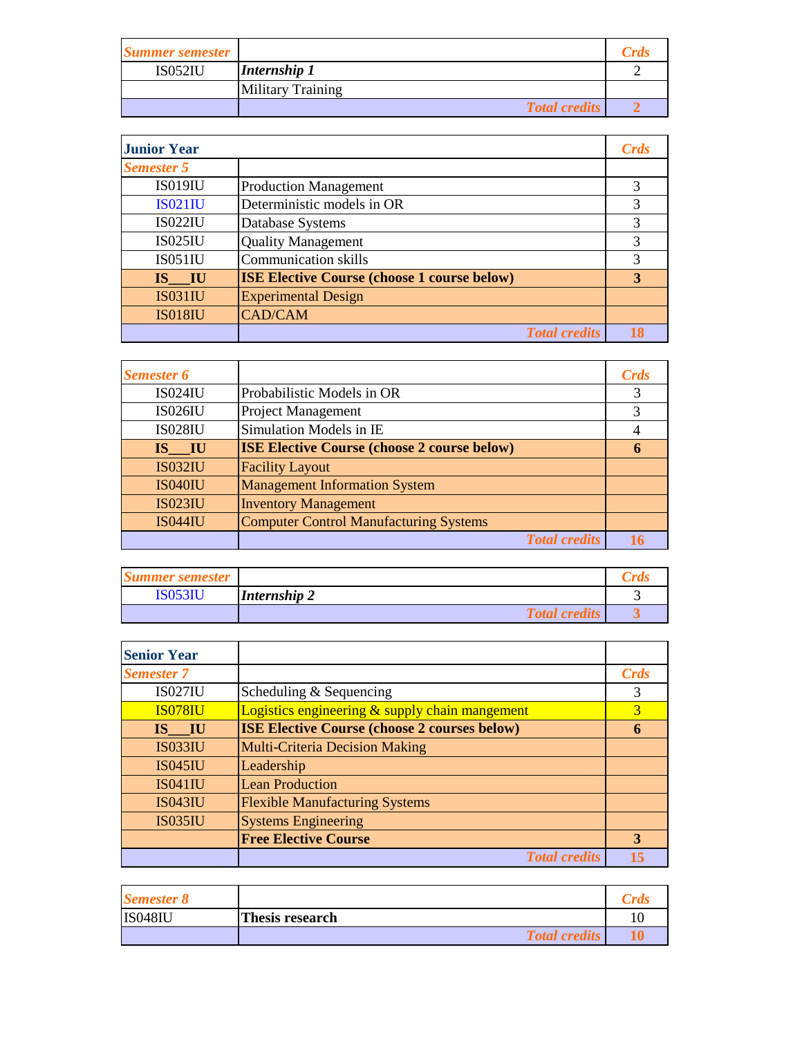| <b>Summer semester</b> |                          | <b>Crds</b> |
|------------------------|--------------------------|-------------|
| IS052IU                | <b>Internship 1</b>      |             |
|                        | <b>Military Training</b> |             |
|                        | <b>Total credits</b>     |             |

| <b>Junior Year</b> |                                                    | <b>Crds</b> |
|--------------------|----------------------------------------------------|-------------|
| <b>Semester 5</b>  |                                                    |             |
| <b>IS019IU</b>     | <b>Production Management</b>                       | 3           |
| <b>IS021IU</b>     | Deterministic models in OR                         | 3           |
| <b>IS022IU</b>     | Database Systems                                   | 3           |
| <b>IS025IU</b>     | <b>Quality Management</b>                          | 3           |
| IS051IU            | <b>Communication skills</b>                        | 3           |
| IS IU              | <b>ISE Elective Course (choose 1 course below)</b> | 3           |
| <b>IS031IU</b>     | <b>Experimental Design</b>                         |             |
| <b>IS018IU</b>     | <b>CAD/CAM</b>                                     |             |
|                    | <b>Total credits</b>                               |             |

| <b>Semester 6</b> |                                                    | Crds |
|-------------------|----------------------------------------------------|------|
| <b>IS024IU</b>    | Probabilistic Models in OR                         | 3    |
| <b>IS026IU</b>    | <b>Project Management</b>                          | 3    |
| <b>IS028IU</b>    | Simulation Models in IE                            | 4    |
| IS IU             | <b>ISE Elective Course (choose 2 course below)</b> | 6    |
| <b>IS032IU</b>    | <b>Facility Layout</b>                             |      |
| <b>IS040IU</b>    | <b>Management Information System</b>               |      |
| <b>IS023IU</b>    | <b>Inventory Management</b>                        |      |
| <b>IS044IU</b>    | <b>Computer Control Manufacturing Systems</b>      |      |
|                   | <b>Total credits</b>                               | 16   |

| <b>Summer semester</b> |                      |  |
|------------------------|----------------------|--|
| <b>IS053IU</b>         | Internship 2         |  |
|                        | <b>Total credits</b> |  |

| <b>Senior Year</b>  |                                                     |      |
|---------------------|-----------------------------------------------------|------|
| <b>Semester 7</b>   |                                                     | Crds |
| IS027 <sub>II</sub> | Scheduling $&$ Sequencing                           | 3    |
| <b>IS078IU</b>      | Logistics engineering & supply chain mangement      | 3    |
| IS IU               | <b>ISE Elective Course (choose 2 courses below)</b> | 6    |
| <b>IS033IU</b>      | <b>Multi-Criteria Decision Making</b>               |      |
| <b>IS045IU</b>      | Leadership                                          |      |
| IS041IU             | <b>Lean Production</b>                              |      |
| <b>IS043IU</b>      | <b>Flexible Manufacturing Systems</b>               |      |
| <b>IS035IU</b>      | <b>Systems Engineering</b>                          |      |
|                     | <b>Free Elective Course</b>                         | 3    |
|                     | <b>Total credits</b>                                |      |

| <b>Semester 8</b> |                        |  |
|-------------------|------------------------|--|
| <b>IS048IU</b>    | <b>Thesis research</b> |  |
|                   | <b>Total credits</b>   |  |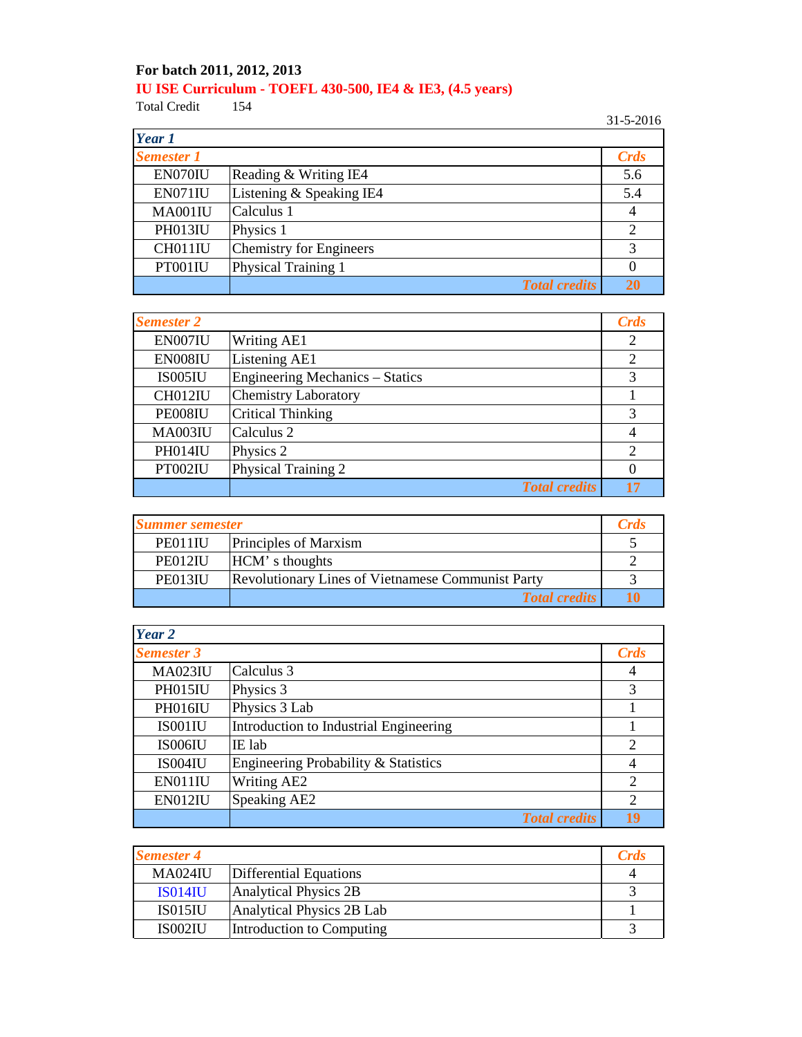## **For batch 2011, 2012, 2013 IU ISE Curriculum - TOEFL 430-500, IE4 & IE3, (4.5 years)**<br>Total Credit 154

Total Credit

31-5-2016

| Year 1            |                          |                |
|-------------------|--------------------------|----------------|
| <b>Semester 1</b> |                          | <b>Crds</b>    |
| EN070IU           | Reading & Writing IE4    | 5.6            |
| EN071IU           | Listening & Speaking IE4 | 5.4            |
| MA001IU           | Calculus 1               | $\overline{4}$ |
| PH013IU           | Physics 1                | $\overline{2}$ |
| CH011IU           | Chemistry for Engineers  | 3              |
| PT001IU           | Physical Training 1      | $\theta$       |
|                   | <b>Total credits</b>     | 20             |

| <b>Semester 2</b> |                                        | <b>Crds</b>    |
|-------------------|----------------------------------------|----------------|
| EN007IU           | <b>Writing AE1</b>                     | $\overline{2}$ |
| EN008IU           | Listening AE1                          | $\overline{c}$ |
| IS005IU           | <b>Engineering Mechanics - Statics</b> | 3              |
| CH012IU           | <b>Chemistry Laboratory</b>            |                |
| PE008IU           | <b>Critical Thinking</b>               | 3              |
| <b>MA003IU</b>    | Calculus 2                             | $\overline{4}$ |
| PH014IU           | Physics 2                              | $\overline{c}$ |
| PT002IU           | <b>Physical Training 2</b>             |                |
|                   | <b>Total credits</b>                   | 17             |

| <b>Summer semester</b> |                                                          | <b>Crds</b> |
|------------------------|----------------------------------------------------------|-------------|
| PE011IU                | <b>Principles of Marxism</b>                             |             |
| PE012IU                | HCM's thoughts                                           |             |
| PE013IU                | <b>Revolutionary Lines of Vietnamese Communist Party</b> |             |
|                        | <b>Total credits</b>                                     |             |

| Year 2            |                                        |                |
|-------------------|----------------------------------------|----------------|
| <b>Semester 3</b> |                                        | Crds           |
| <b>MA023IU</b>    | Calculus 3                             | 4              |
| PH015IU           | Physics 3                              | 3              |
| PH016IU           | Physics 3 Lab                          |                |
| IS001IU           | Introduction to Industrial Engineering |                |
| IS006IU           | IE lab                                 | $\overline{2}$ |
| <b>IS004IU</b>    | Engineering Probability & Statistics   | $\overline{4}$ |
| EN011IU           | <b>Writing AE2</b>                     | $\overline{c}$ |
| EN012IU           | Speaking AE2                           | $\overline{2}$ |
|                   | <b>Total credits</b>                   | 19             |

| <b>Semester 4</b> |                           | <b>Crds</b> |
|-------------------|---------------------------|-------------|
| <b>MA024IU</b>    | Differential Equations    |             |
| <b>ISO14IU</b>    | Analytical Physics 2B     |             |
| IS015IU           | Analytical Physics 2B Lab |             |
| IS002IU           | Introduction to Computing |             |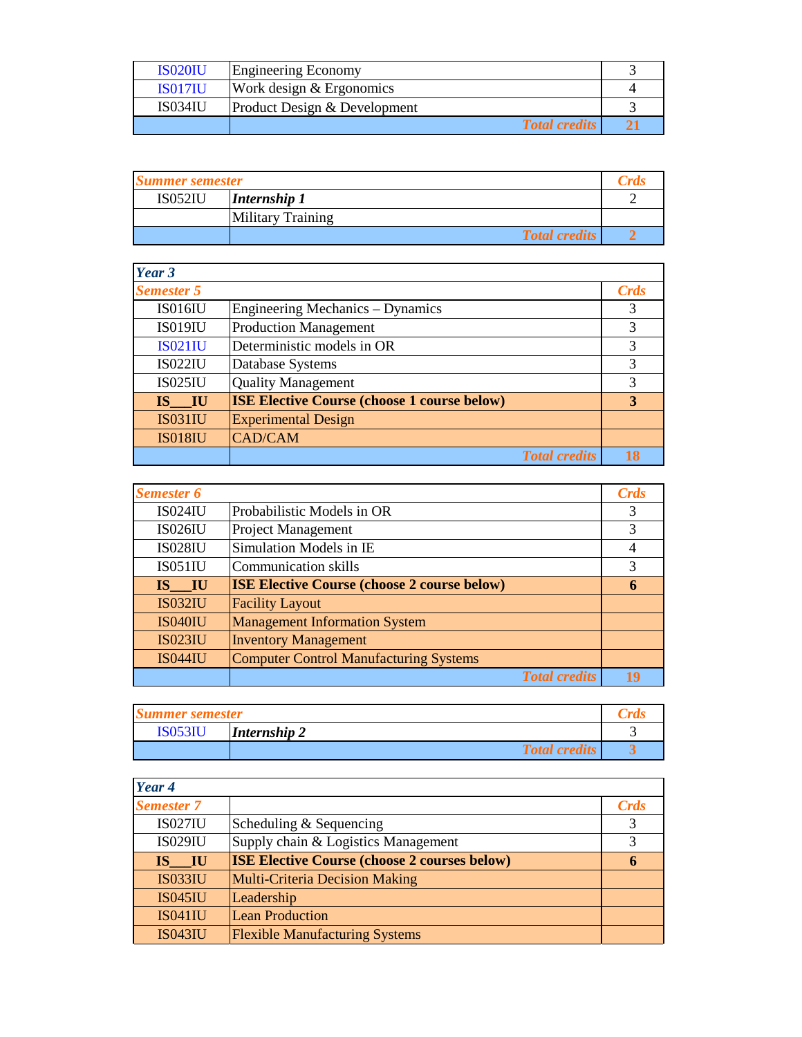| <b>IS020IU</b> | <b>Engineering Economy</b>   |  |
|----------------|------------------------------|--|
| <b>ISO17IU</b> | Work design & Ergonomics     |  |
| <b>IS034IU</b> | Product Design & Development |  |
|                | <b>Total credits</b>         |  |

| <b>Summer semester</b> |                          | Crds |
|------------------------|--------------------------|------|
| <b>IS052IU</b>         | Internship 1             |      |
|                        | <b>Military Training</b> |      |
|                        | <b>Total credits</b>     |      |

| Year 3            |                                                    |      |
|-------------------|----------------------------------------------------|------|
| <b>Semester 5</b> |                                                    | Crds |
| <b>IS016IU</b>    | <b>Engineering Mechanics – Dynamics</b>            | 3    |
| <b>IS019IU</b>    | <b>Production Management</b>                       | 3    |
| <b>IS021IU</b>    | Deterministic models in OR                         | 3    |
| <b>IS022IU</b>    | Database Systems                                   | 3    |
| <b>IS025IU</b>    | <b>Quality Management</b>                          | 3    |
| IS IU             | <b>ISE Elective Course (choose 1 course below)</b> | 3    |
| <b>IS031IU</b>    | <b>Experimental Design</b>                         |      |
| <b>IS018IU</b>    | <b>CAD/CAM</b>                                     |      |
|                   | <b>Total credits</b>                               | 18   |

| <b>Semester 6</b> |                                                    | <b>Crds</b>    |
|-------------------|----------------------------------------------------|----------------|
| <b>IS024IU</b>    | Probabilistic Models in OR                         | 3              |
| <b>IS026IU</b>    | <b>Project Management</b>                          | 3              |
| <b>IS028IU</b>    | Simulation Models in IE                            | $\overline{4}$ |
| <b>IS051IU</b>    | Communication skills                               | 3              |
| IS IU             | <b>ISE Elective Course (choose 2 course below)</b> | 6              |
| <b>IS032IU</b>    | <b>Facility Layout</b>                             |                |
| <b>IS040IU</b>    | <b>Management Information System</b>               |                |
| <b>IS023IU</b>    | <b>Inventory Management</b>                        |                |
| <b>IS044IU</b>    | <b>Computer Control Manufacturing Systems</b>      |                |
|                   | <b>Total credits</b>                               | 19             |

| <b>Summer semester</b> |                      |  |
|------------------------|----------------------|--|
| <b>IS053IU</b>         | Internship 2         |  |
|                        | <b>Total credits</b> |  |

| Year 4            |                                                     |      |
|-------------------|-----------------------------------------------------|------|
| <b>Semester 7</b> |                                                     | Crds |
| <b>IS027IU</b>    | Scheduling & Sequencing                             | 3    |
| <b>IS029IU</b>    | Supply chain & Logistics Management                 | 3    |
| IS IU             | <b>ISE Elective Course (choose 2 courses below)</b> | 6    |
| <b>IS033IU</b>    | <b>Multi-Criteria Decision Making</b>               |      |
| <b>IS045IU</b>    | Leadership                                          |      |
| <b>IS041IU</b>    | <b>Lean Production</b>                              |      |
| <b>IS043IU</b>    | <b>Flexible Manufacturing Systems</b>               |      |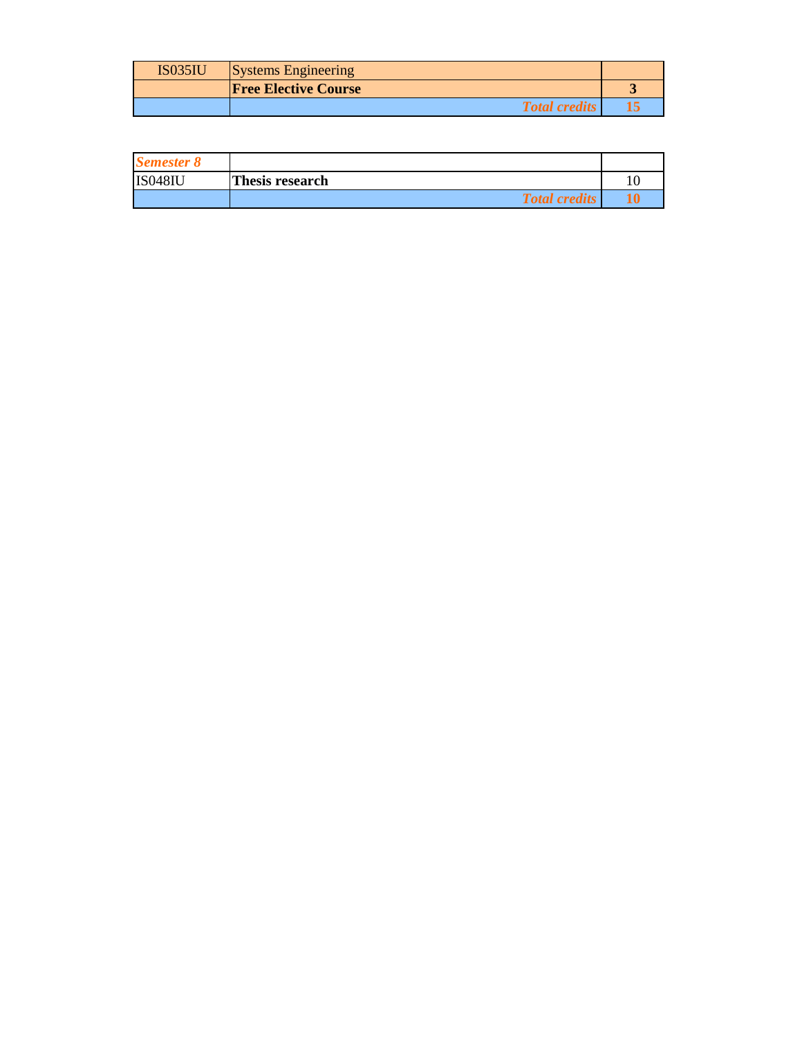| <b>IS035IU</b> | <b>Systems Engineering</b>  |  |
|----------------|-----------------------------|--|
|                | <b>Free Elective Course</b> |  |
|                | <b>Total credits</b>        |  |

| <b>Semester 8</b> |                      |  |
|-------------------|----------------------|--|
| <b>IS048IL</b>    | Thesis research      |  |
|                   | <b>Total credits</b> |  |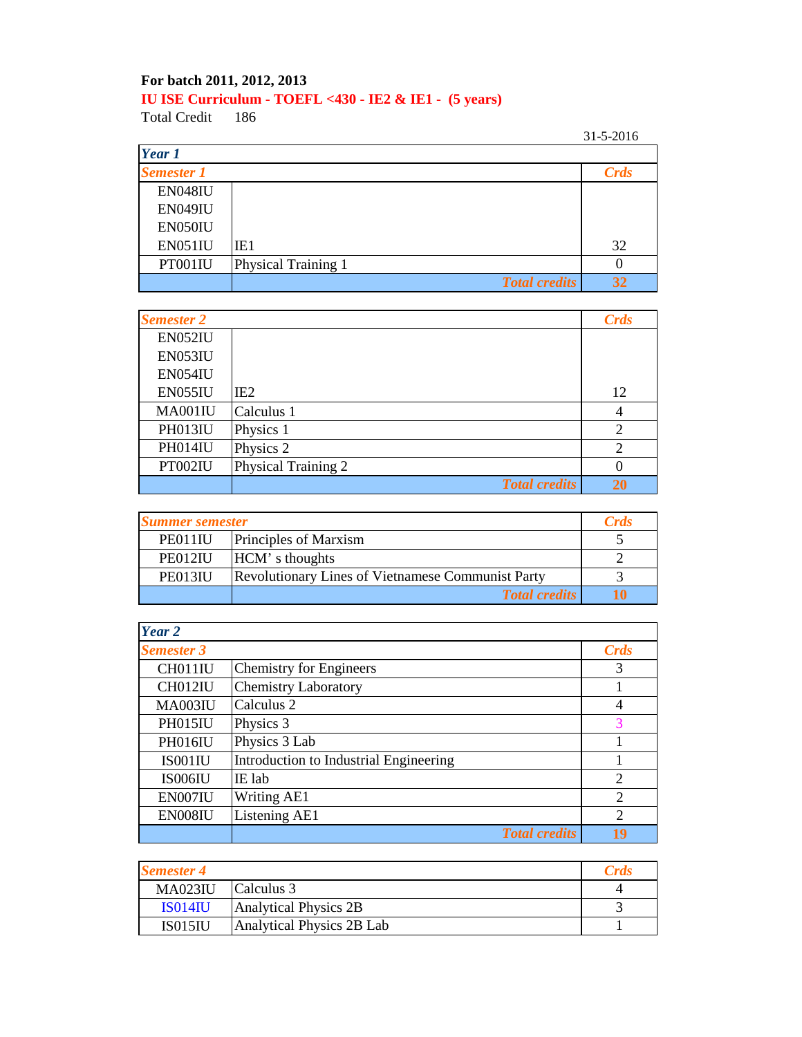## **For batch 2011, 2012, 2013 IU ISE Curriculum - TOEFL <430 - IE2 & IE1 - (5 years)**

Total Credit

31-5-2016

| Year 1            |                      |             |
|-------------------|----------------------|-------------|
| <b>Semester 1</b> |                      | <b>Crds</b> |
| <b>EN048IU</b>    |                      |             |
| <b>EN049IU</b>    |                      |             |
| EN050IU           |                      |             |
| <b>EN051IU</b>    | IE1                  | 32          |
| PT001IU           | Physical Training 1  | $\theta$    |
|                   | <b>Total credits</b> | 32          |

| <b>Semester 2</b> |                      | Crds                        |
|-------------------|----------------------|-----------------------------|
| <b>EN052IU</b>    |                      |                             |
| EN053IU           |                      |                             |
| EN054IU           |                      |                             |
| EN055IU           | IE <sub>2</sub>      | 12                          |
| MA001IU           | Calculus 1           | 4                           |
| PH013IU           | Physics 1            | $\mathcal{D}_{\mathcal{A}}$ |
| PH014IU           | Physics 2            | $\overline{2}$              |
| PT002IU           | Physical Training 2  | 0                           |
|                   | <b>Total credits</b> | 20                          |

| <b>Summer semester</b> |                                                          | <b>Crds</b> |
|------------------------|----------------------------------------------------------|-------------|
| PE011IU                | Principles of Marxism                                    |             |
| PE012IU                | HCM's thoughts                                           |             |
| PE013IU                | <b>Revolutionary Lines of Vietnamese Communist Party</b> |             |
|                        | <b>Total credits</b>                                     |             |

| Year 2            |                                        |                             |
|-------------------|----------------------------------------|-----------------------------|
| <b>Semester 3</b> |                                        | <b>Crds</b>                 |
| CH011IU           | <b>Chemistry for Engineers</b>         | 3                           |
| CH012IU           | <b>Chemistry Laboratory</b>            |                             |
| <b>MA003IU</b>    | Calculus 2                             | $\overline{4}$              |
| PH015IU           | Physics 3                              | 3                           |
| <b>PH016IU</b>    | Physics 3 Lab                          |                             |
| IS001IU           | Introduction to Industrial Engineering |                             |
| IS006IU           | IE lab                                 | 2                           |
| EN007IU           | Writing AE1                            | 2                           |
| EN008IU           | Listening AE1                          | $\mathcal{D}_{\mathcal{L}}$ |
|                   | <b>Total credits</b>                   | 19                          |

| <b>Semester 4</b> |                           |  |
|-------------------|---------------------------|--|
| <b>MA023IU</b>    | Calculus 3                |  |
| <b>ISO14IU</b>    | Analytical Physics 2B     |  |
| <b>IS015IU</b>    | Analytical Physics 2B Lab |  |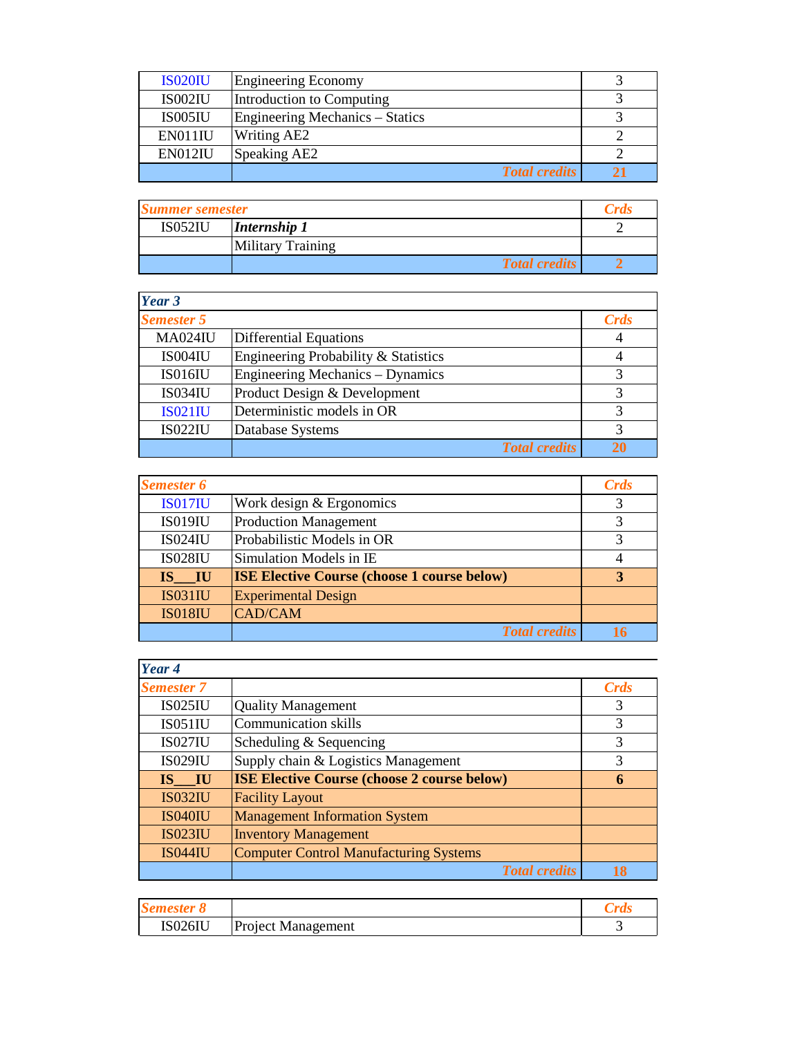| <b>IS020IU</b> | <b>Engineering Economy</b>             |  |
|----------------|----------------------------------------|--|
| IS002IU        | Introduction to Computing              |  |
| IS005IU        | <b>Engineering Mechanics - Statics</b> |  |
| EN011IU        | <b>Writing AE2</b>                     |  |
| EN012IU        | Speaking AE2                           |  |
|                | <b>Total credits</b>                   |  |

| <b>Summer semester</b> |                          | <b>Crds</b> |
|------------------------|--------------------------|-------------|
| <b>IS052IU</b>         | Internship 1             |             |
|                        | <b>Military Training</b> |             |
|                        | <b>Total credits</b>     |             |

| Year 3            |                                         |             |
|-------------------|-----------------------------------------|-------------|
| <b>Semester 5</b> |                                         | <b>Crds</b> |
| <b>MA024IU</b>    | <b>Differential Equations</b>           |             |
| IS004IU           | Engineering Probability & Statistics    |             |
| <b>IS016IU</b>    | <b>Engineering Mechanics – Dynamics</b> | 3           |
| <b>IS034IU</b>    | Product Design & Development            | 3           |
| <b>IS021IU</b>    | Deterministic models in OR              | 3           |
| <b>IS022IU</b>    | Database Systems                        | 3           |
|                   | <b>Total credits</b>                    |             |

| <b>Semester 6</b> |                                                    | <b>Crds</b> |
|-------------------|----------------------------------------------------|-------------|
| <b>IS017IU</b>    | Work design & Ergonomics                           | 3           |
| <b>IS019IU</b>    | <b>Production Management</b>                       | 3           |
| <b>IS024IU</b>    | Probabilistic Models in OR                         | 3           |
| <b>IS028IU</b>    | Simulation Models in IE                            |             |
| IS IU             | <b>ISE Elective Course (choose 1 course below)</b> | 3           |
| <b>IS031IU</b>    | <b>Experimental Design</b>                         |             |
| <b>IS018IU</b>    | <b>CAD/CAM</b>                                     |             |
|                   | <b>Total credits</b>                               |             |

| Year 4            |                                                    |      |
|-------------------|----------------------------------------------------|------|
| <b>Semester 7</b> |                                                    | Crds |
| <b>IS025IU</b>    | <b>Quality Management</b>                          | 3    |
| <b>IS051IU</b>    | <b>Communication skills</b>                        | 3    |
| <b>IS027IU</b>    | Scheduling & Sequencing                            | 3    |
| <b>IS029IU</b>    | Supply chain & Logistics Management                | 3    |
| IS IU             | <b>ISE Elective Course (choose 2 course below)</b> | 6    |
| <b>IS032IU</b>    | <b>Facility Layout</b>                             |      |
| <b>IS040IU</b>    | <b>Management Information System</b>               |      |
| <b>IS023IU</b>    | <b>Inventory Management</b>                        |      |
| <b>IS044IU</b>    | <b>Computer Control Manufacturing Systems</b>      |      |
|                   | <b>Total credits</b>                               |      |

| <b>NYAYIRANI A</b> Y |                           |  |
|----------------------|---------------------------|--|
| <b>IS026IU</b>       | <b>Project Management</b> |  |